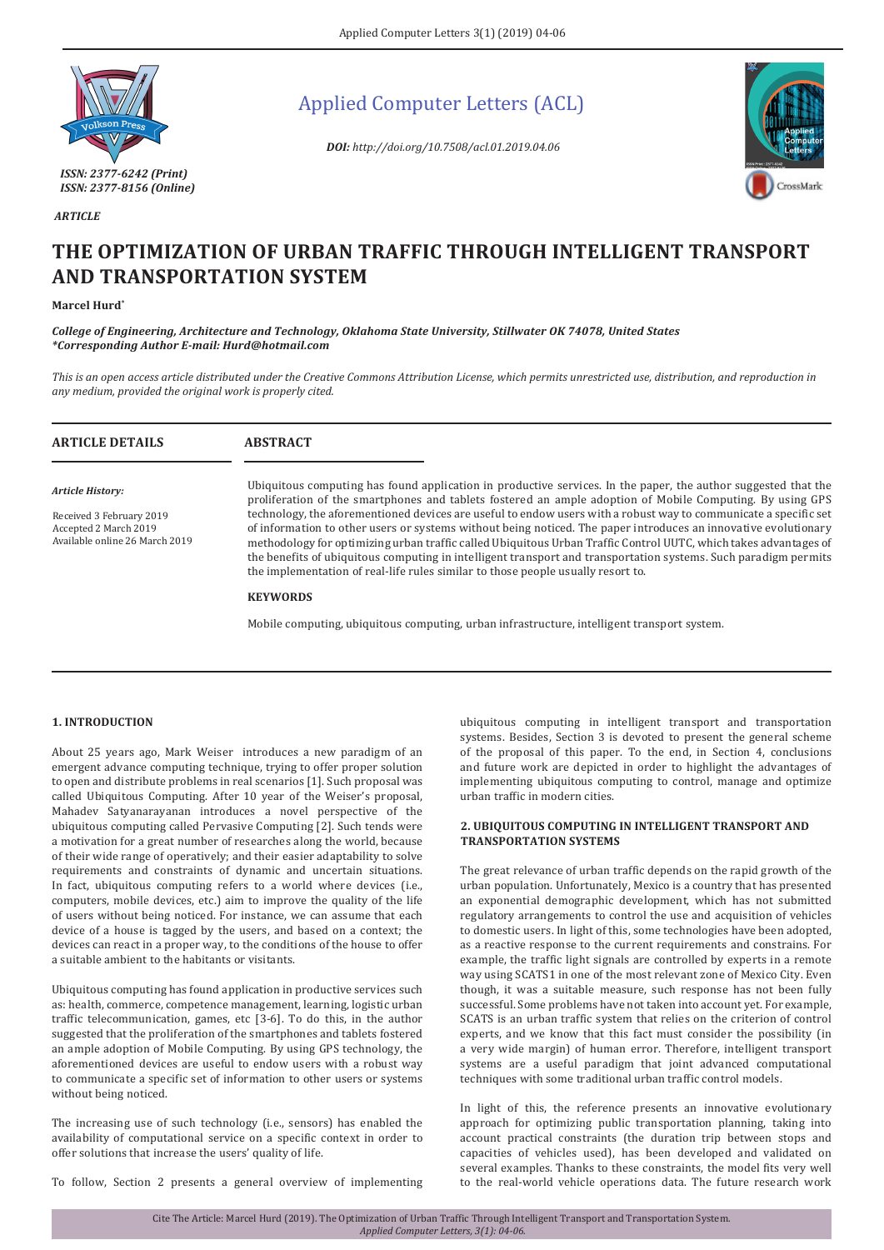

Applied Computer Letters (ACL)

*DOI: http://doi.org/10.7508/acl.01.2019.04.06*



# **THE OPTIMIZATION OF URBAN TRAFFIC THROUGH INTELLIGENT TRANSPORT AND TRANSPORTATION SYSTEM**

## **Marcel Hurd\***

 *ARTICLE*

*College of Engineering, Architecture and Technology, Oklahoma State University, Stillwater OK 74078, United States \*Corresponding Author E-mail: Hurd@hotmail.com*

*This is an open access article distributed under the Creative Commons Attribution License, which permits unrestricted use, distribution, and reproduction in any medium, provided the original work is properly cited.*

| <b>ARTICLE DETAILS</b>                                                                                         | <b>ABSTRACT</b>                                                                                                                                                                                                                                                                                                                                                                                                                                                                                                                                                                                                                                                                                           |
|----------------------------------------------------------------------------------------------------------------|-----------------------------------------------------------------------------------------------------------------------------------------------------------------------------------------------------------------------------------------------------------------------------------------------------------------------------------------------------------------------------------------------------------------------------------------------------------------------------------------------------------------------------------------------------------------------------------------------------------------------------------------------------------------------------------------------------------|
| <b>Article History:</b><br>Received 3 February 2019<br>Accepted 2 March 2019<br>Available online 26 March 2019 | Ubiquitous computing has found application in productive services. In the paper, the author suggested that the<br>proliferation of the smartphones and tablets fostered an ample adoption of Mobile Computing. By using GPS<br>technology, the aforementioned devices are useful to endow users with a robust way to communicate a specific set<br>of information to other users or systems without being noticed. The paper introduces an innovative evolutionary<br>methodology for optimizing urban traffic called Ubiquitous Urban Traffic Control UUTC, which takes advantages of<br>the benefits of ubiquitous computing in intelligent transport and transportation systems. Such paradigm permits |
|                                                                                                                | the implementation of real-life rules similar to those people usually resort to.<br><b>KEYWORDS</b><br>Mobile computing, ubiquitous computing, urban infrastructure, intelligent transport system.                                                                                                                                                                                                                                                                                                                                                                                                                                                                                                        |

## **1. INTRODUCTION**

About 25 years ago, Mark Weiser introduces a new paradigm of an emergent advance computing technique, trying to offer proper solution to open and distribute problems in real scenarios [1]. Such proposal was called Ubiquitous Computing. After 10 year of the Weiser's proposal, Mahadev Satyanarayanan introduces a novel perspective of the ubiquitous computing called Pervasive Computing [2]. Such tends were a motivation for a great number of researches along the world, because of their wide range of operatively; and their easier adaptability to solve requirements and constraints of dynamic and uncertain situations. In fact, ubiquitous computing refers to a world where devices (i.e., computers, mobile devices, etc.) aim to improve the quality of the life of users without being noticed. For instance, we can assume that each device of a house is tagged by the users, and based on a context; the devices can react in a proper way, to the conditions of the house to offer a suitable ambient to the habitants or visitants.

Ubiquitous computing has found application in productive services such as: health, commerce, competence management, learning, logistic urban traffic telecommunication, games, etc [3-6]. To do this, in the author suggested that the proliferation of the smartphones and tablets fostered an ample adoption of Mobile Computing. By using GPS technology, the aforementioned devices are useful to endow users with a robust way to communicate a specific set of information to other users or systems without being noticed.

The increasing use of such technology (i.e., sensors) has enabled the availability of computational service on a specific context in order to offer solutions that increase the users' quality of life.

To follow, Section 2 presents a general overview of implementing

ubiquitous computing in intelligent transport and transportation systems. Besides, Section 3 is devoted to present the general scheme of the proposal of this paper. To the end, in Section 4, conclusions and future work are depicted in order to highlight the advantages of implementing ubiquitous computing to control, manage and optimize urban traffic in modern cities.

## **2. UBIQUITOUS COMPUTING IN INTELLIGENT TRANSPORT AND TRANSPORTATION SYSTEMS**

The great relevance of urban traffic depends on the rapid growth of the urban population. Unfortunately, Mexico is a country that has presented an exponential demographic development, which has not submitted regulatory arrangements to control the use and acquisition of vehicles to domestic users. In light of this, some technologies have been adopted, as a reactive response to the current requirements and constrains. For example, the traffic light signals are controlled by experts in a remote way using SCATS1 in one of the most relevant zone of Mexico City. Even though, it was a suitable measure, such response has not been fully successful. Some problems have not taken into account yet. For example, SCATS is an urban traffic system that relies on the criterion of control experts, and we know that this fact must consider the possibility (in a very wide margin) of human error. Therefore, intelligent transport systems are a useful paradigm that joint advanced computational techniques with some traditional urban traffic control models.

In light of this, the reference presents an innovative evolutionary approach for optimizing public transportation planning, taking into account practical constraints (the duration trip between stops and capacities of vehicles used), has been developed and validated on several examples. Thanks to these constraints, the model fits very well to the real-world vehicle operations data. The future research work

Cite The Article: Marcel Hurd (2019). The Optimization of Urban Traffic Through Intelligent Transport and Transportation System. *Applied Computer Letters, 3(1): 04-06.*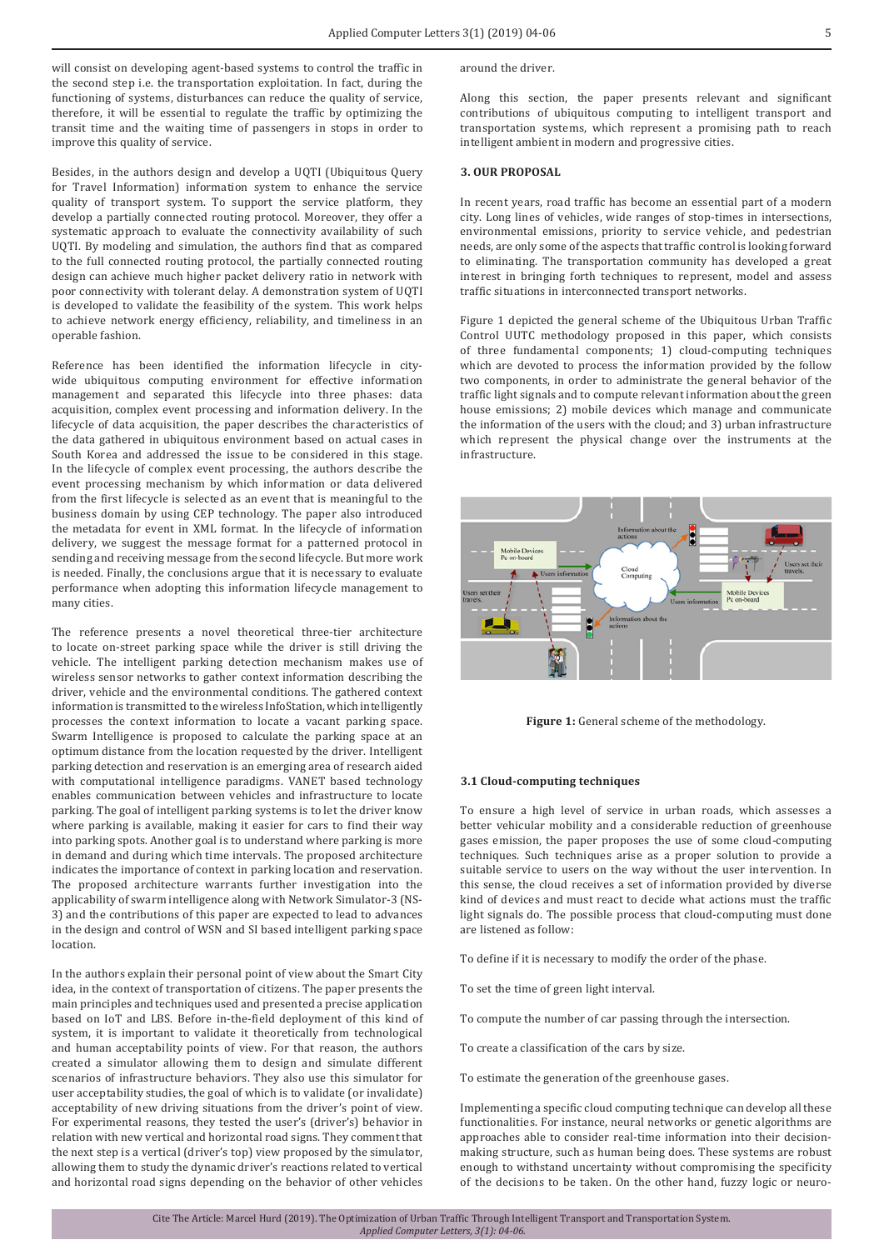will consist on developing agent-based systems to control the traffic in the second step i.e. the transportation exploitation. In fact, during the functioning of systems, disturbances can reduce the quality of service, therefore, it will be essential to regulate the traffic by optimizing the transit time and the waiting time of passengers in stops in order to improve this quality of service.

Besides, in the authors design and develop a UQTI (Ubiquitous Query for Travel Information) information system to enhance the service quality of transport system. To support the service platform, they develop a partially connected routing protocol. Moreover, they offer a systematic approach to evaluate the connectivity availability of such UQTI. By modeling and simulation, the authors find that as compared to the full connected routing protocol, the partially connected routing design can achieve much higher packet delivery ratio in network with poor connectivity with tolerant delay. A demonstration system of UQTI is developed to validate the feasibility of the system. This work helps to achieve network energy efficiency, reliability, and timeliness in an operable fashion.

Reference has been identified the information lifecycle in citywide ubiquitous computing environment for effective information management and separated this lifecycle into three phases: data acquisition, complex event processing and information delivery. In the lifecycle of data acquisition, the paper describes the characteristics of the data gathered in ubiquitous environment based on actual cases in South Korea and addressed the issue to be considered in this stage. In the lifecycle of complex event processing, the authors describe the event processing mechanism by which information or data delivered from the first lifecycle is selected as an event that is meaningful to the business domain by using CEP technology. The paper also introduced the metadata for event in XML format. In the lifecycle of information delivery, we suggest the message format for a patterned protocol in sending and receiving message from the second lifecycle. But more work is needed. Finally, the conclusions argue that it is necessary to evaluate performance when adopting this information lifecycle management to many cities.

The reference presents a novel theoretical three-tier architecture to locate on-street parking space while the driver is still driving the vehicle. The intelligent parking detection mechanism makes use of wireless sensor networks to gather context information describing the driver, vehicle and the environmental conditions. The gathered context information is transmitted to the wireless InfoStation, which intelligently processes the context information to locate a vacant parking space. Swarm Intelligence is proposed to calculate the parking space at an optimum distance from the location requested by the driver. Intelligent parking detection and reservation is an emerging area of research aided with computational intelligence paradigms. VANET based technology enables communication between vehicles and infrastructure to locate parking. The goal of intelligent parking systems is to let the driver know where parking is available, making it easier for cars to find their way into parking spots. Another goal is to understand where parking is more in demand and during which time intervals. The proposed architecture indicates the importance of context in parking location and reservation. The proposed architecture warrants further investigation into the applicability of swarm intelligence along with Network Simulator-3 (NS-3) and the contributions of this paper are expected to lead to advances in the design and control of WSN and SI based intelligent parking space location.

In the authors explain their personal point of view about the Smart City idea, in the context of transportation of citizens. The paper presents the main principles and techniques used and presented a precise application based on IoT and LBS. Before in-the-field deployment of this kind of system, it is important to validate it theoretically from technological and human acceptability points of view. For that reason, the authors created a simulator allowing them to design and simulate different scenarios of infrastructure behaviors. They also use this simulator for user acceptability studies, the goal of which is to validate (or invalidate) acceptability of new driving situations from the driver's point of view. For experimental reasons, they tested the user's (driver's) behavior in relation with new vertical and horizontal road signs. They comment that the next step is a vertical (driver's top) view proposed by the simulator, allowing them to study the dynamic driver's reactions related to vertical and horizontal road signs depending on the behavior of other vehicles

around the driver.

Along this section, the paper presents relevant and significant contributions of ubiquitous computing to intelligent transport and transportation systems, which represent a promising path to reach intelligent ambient in modern and progressive cities.

### **3. OUR PROPOSAL**

In recent years, road traffic has become an essential part of a modern city. Long lines of vehicles, wide ranges of stop-times in intersections, environmental emissions, priority to service vehicle, and pedestrian needs, are only some of the aspects that traffic control is looking forward to eliminating. The transportation community has developed a great interest in bringing forth techniques to represent, model and assess traffic situations in interconnected transport networks.

Figure 1 depicted the general scheme of the Ubiquitous Urban Traffic Control UUTC methodology proposed in this paper, which consists of three fundamental components; 1) cloud-computing techniques which are devoted to process the information provided by the follow two components, in order to administrate the general behavior of the traffic light signals and to compute relevant information about the green house emissions; 2) mobile devices which manage and communicate the information of the users with the cloud; and 3) urban infrastructure which represent the physical change over the instruments at the infrastructure.



**Figure 1:** General scheme of the methodology.

#### **3.1 Cloud-computing techniques**

To ensure a high level of service in urban roads, which assesses a better vehicular mobility and a considerable reduction of greenhouse gases emission, the paper proposes the use of some cloud-computing techniques. Such techniques arise as a proper solution to provide a suitable service to users on the way without the user intervention. In this sense, the cloud receives a set of information provided by diverse kind of devices and must react to decide what actions must the traffic light signals do. The possible process that cloud-computing must done are listened as follow:

To define if it is necessary to modify the order of the phase.

To set the time of green light interval.

To compute the number of car passing through the intersection.

To create a classification of the cars by size.

To estimate the generation of the greenhouse gases.

Implementing a specific cloud computing technique can develop all these functionalities. For instance, neural networks or genetic algorithms are approaches able to consider real-time information into their decisionmaking structure, such as human being does. These systems are robust enough to withstand uncertainty without compromising the specificity of the decisions to be taken. On the other hand, fuzzy logic or neuro